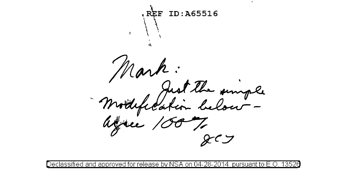REF ID:A65516 Mark:<br>Modefication below -<br>atree 1007,

lassified and approved for release by NSA: pursuant to -on U4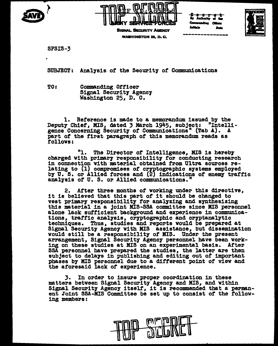



**SIGNAL SECURITY AGENCY WASHINGTON 25, D.C.** 



**SPSIS-3** 

SUBJECT: Analysis of the Security of Communications

TO: Commanding Officer **Signal Security Agency** Washington 25, D. C.

1. Reference is made to a memorandum issued by the<br>Deputy Chief, MIS, dated 3 March 1945, subject: "Intelligence Concerning Security of Communications" (Tab A). A part of the first paragraph of this memorandum reads as follows:

"1. The Director of Intelligence, MIS is hereby charged with primary responsibility for conducting research in connection with material obtained from Ultra sources relating to (1) compromises of cryptographic systems employed by U. S. or Allied forces and (2) indications of enemy traffic analysis of U.S. or Allied communications."

2. After three months of working under this directive, it is believed that this part of it should be changed to vest primary responsibility for analyzing and synthesizing this material in a joint MIS-SSA committee since MIS personnel alone lack sufficient background and experience in communications, traffic analysis, cryptographic and cryptanalytic techniques. Thus, studies and reports would be prepared at Signal Security Agency with MIS assistance, but dissemination would still be a responsibility of MIS. Under the present arrangement, Signal Security Agency personnel have been working on these studies at MIS on an experimental basis. After SSA personnel have prepared the studies, the latter are then subject to delays in publishing and editing out of important phases by MIS personnel due to a different point of view and the aforesaid lack of experience.

In order to insure proper coordination in these matters between Signal Security Agency and MIS, and within Signal Security Agency itself, it is recommended that a permanent Joint SSA-MIS Committee be set up to consist of the following members: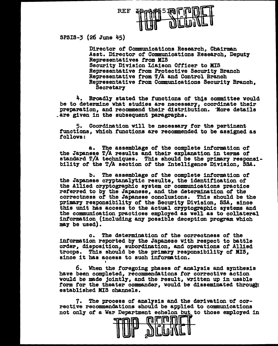

SPSIS-3 (26 June 45)

Director of Communications Research, Chairman Asst. Director *ot* Communications Research, Deput7 Representatives f'l'om MIS Security Division Liaison Officer to MIS Representative from Protective Security Branch Representative from T/A and Control Branch Representative from Communications Security Branch, Secretary

4. Broadly stated the functions of this committee would be to determine what studies are necessary, coordinate their preparation, and recommend their distribution. 'More details .are given in the subsequent paragraphs.

5. Coordination will be necessary tor the pertinent functions, which functions are recommended to be assigned as follows:

a. The assemblage of the complete information of the Japanese T/A results and their explanation in terms of standard T/A techniques. This should be the primary responsibility of the T/A section of the Intelligence Division, SSA.

b. The assemblage of the complete information of the Japanese cryptanalytic results, the identification of the Allied cryptographic system or communications practice referred to by the Japanese, and the determination of the correctness of the Japanese conclusions. This should be the primary responsibility of the Security Division, SSA, since this unit has access to the actual cryptographic systems and the communication practices emplo7ed as well as to collateral information (including an7 possible deception program which may be used).

c. The determination of the correctness of the information reported bf the Japanese with respect to battle order, disposition, subordination, and operations of Allied troops. This should be the primary responsibility of MIS, since it has access to such information.

6. When the foregoing phases of analysis and synthesis have been completed, recommendations tor corrective action vould be made jointly, and the result, written up in usable form for the theater commander, would be disseminated through established MIS channels.

7. ~he process *ot* analysis and the de~ivat1on of corrective recommendations should be applied to communications not only of a War Department echelon but to those employed in

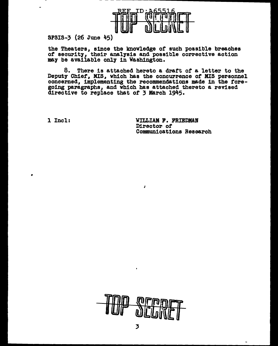

SPSIS-3 (26 June 45)

the Theaters, since the knowledge of such possible breaches of security, their analysis and possible corrective action may be available only in Washington.

8. There is attached hereto a draft of a letter to the Deputy Chief, MIS, which has the concurrence of MIS personnel concerned, implementing the recommendations made in the foregoing paragraphs, and which has attached thereto a revised directive to replace that of 3 March 1945.

 $\lambda$ 

1 Incl:

 $\bullet$ 

WILLIAM F. FRIEDMAN Director of Communications Research

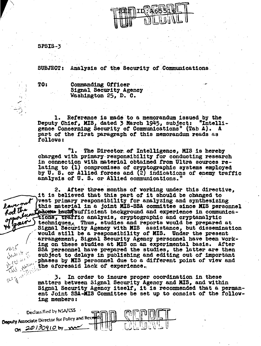

SPSIS-3

**SUBJECT:** Analysis of the Security of Communications.

TO:

lave not

Rod the

WER

\```\\

Henry

air

Commanding Officer Signal Security Agency Washington 25, D. C.

Reference is made to a memorandum issued by the l. Deputy Chief, MIS, dated 3 March 1945, subject: **"Intelli**gence Concerning Security of Communications" (Tab A). A part of the first paragraph of this memorandum reads as followa:

"1. The Director of Intelligence, MIS is hereby charged with primary responsibility for conducting research in connection with material obtained from Ultra sources relating to (1) compromises of cryptographic systems employed by U. S. or Allied forces and (2) indications of enemy traffic analysis of U.S. or Allied communications."

2. After three months of working under this directive, it is believed that this part of it should be changed to vest primary responsibility for analyzing and synthesizing this material in a joint MIS-SSA committee since MIS personnel Ladowe lack sufficient background and experience in communications, traffic analysis, cryptographic and cryptanalytic techniques, Thus, studies and reports would be prepared at Signal Security Agency with MIS assistance, but dissemination would still be a responsibility of MIS. Under the present arrangement, Signal Security Agency personnel have been working on these studies at MIS on an experimental basis. After SSA personnel have prepared the studies, the latter are then subject to delays in publishing and editing out of important phases by MIS personnel due to a different point of view and the aforesaid lack of experience.

3. In order to insure proper coordination in these matters between Signal Security Agency and MIS, and within Signal Security Agency itself, it is recommended that a permanent Joint SSA-MIS Committee be set up to consist of the following members:

Declassified by NSA/CSS Deputy Associate Director for Policy and Rece On 20130910 by no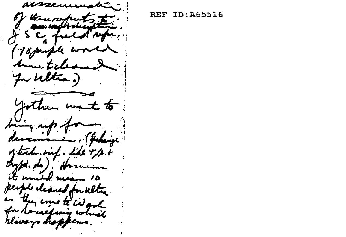圪 roske 18 puple  $\mathbf{L}$ In Witha. am kange Linf. Like  $E$  kom $\overline{L}$ people cleaned for Well they come to wash efang w rlways in r fed L4,

**REF ID:A65516**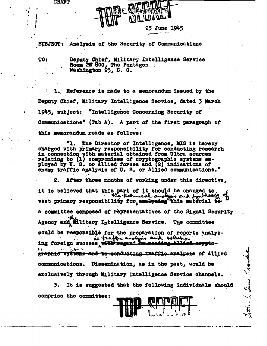**DRAFT** 



SUBJECT: Analysis of the Security of Communications

TO 1

Deputy Chief, Military Intelligence Service<br>Room 2E 800, The Pentagon Washington 25, D. C.

1. Reference is made to a memorandum issued by the Deputy Chief, Military Intelligence Service, dated 3 March 1945, subject: "Intelligence Concerning Security of Communications" (Tab A). A part of the first paragraph of this memorandum reads as follows:

The Director of Intelligence, MIS is hereby charged with primary responsibility for conducting research in connection with material obtained from Ultra sources relating to (1) compromises of cryptographic systems employed by U. S. or Allied forces and (2) indications of enemy traffic analysis of U.S. or Allied communications."

2. After three months of working under this directive, it is believed that this part of it should be changed to vest primary responsibility for analysing this material to a committee composed of representatives of the Signal Security Agency and Military Intelligence Service. The committee would be responsible for the preparation of reports analyzin traffic analysis and solution ing foreign success with regard be reading Allied eryptographic systems and to conducting traffic analysis of Allied communications. Dissemination, as in the past, would be exclusively through Military Intelligence Service channels.

It is suggested that the following individuals should 3. comprise the committee:

lene , thank

٦Î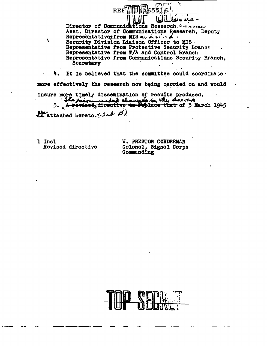Director of Communications Research, Seconds Asst. Director of Communications Research, Deputy Representatives from MIS at Attical Security Division Liaison Officer to MIS. Representative from Protective Security Branch Representative from T/A and Control Branch Representative from Communications Security Branch, Secretary

It is believed that the committee could coordinate. more effectively the research now being carried on and would

insure more timely dissemination of results produced. The recommended champed in the directors of 3 March 1945

**REF** 

ste attached hereto. (2st B)

1 Incl Revised directive

 $\lambda$ 

**W. PRESTON CORDERMAN** Colonel, Signal Corps Commanding

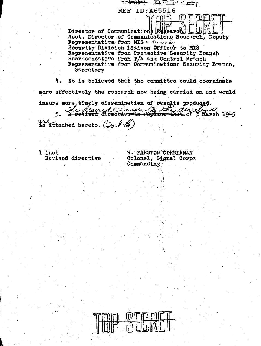وللعاب Director of Communications Research Asst. Director of Communications Research, Deputy Representatives from MIS and desired. Security Division Liaison Officer to MIS Representative from Protective Security Branch Representative from T/A and Control Branch Representative from Communications Security Branch. Secretary

rmin

**REF ID: A65516** 

<u>far bete</u>r

nrann

4. It is believed that the committee could coordinate more effectively the research now being carried on and would

insure more, timely dissemination of results produced. The desired changes to the directive

is attached hereto. (Tab)

1 Incl Revised directive

**W. PRESTON CORDERMAN** Colonel, Signal Corps Commanding

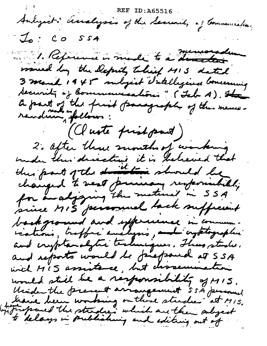Audigait: analysis of the Security of Communication.  $I<sub>o</sub>:coSSA$ 1. Reprend is made to a distance would by the Deputy Thirty MIS dated 3 march 1945 subject Intelligence Concessing Security of Communications" (Isb A). The a part of the first paragraph of the mens-<br>revolume follows : (Cluste frist part) 2. after three months of working under their directions it is believed that<br>the part of the direction should be<br>changed to read previous responsibility<br>for an adjoing the meterial in 55A<br>since MIS personal lack sufficient background and experience in commun-<br>continue, traffic analysis, and crystopaphie and reports would be firefraud at SSA wich MIS assistance, but characture would still be a responsibility of MIS. Unider the present arrangement 5 sh personal